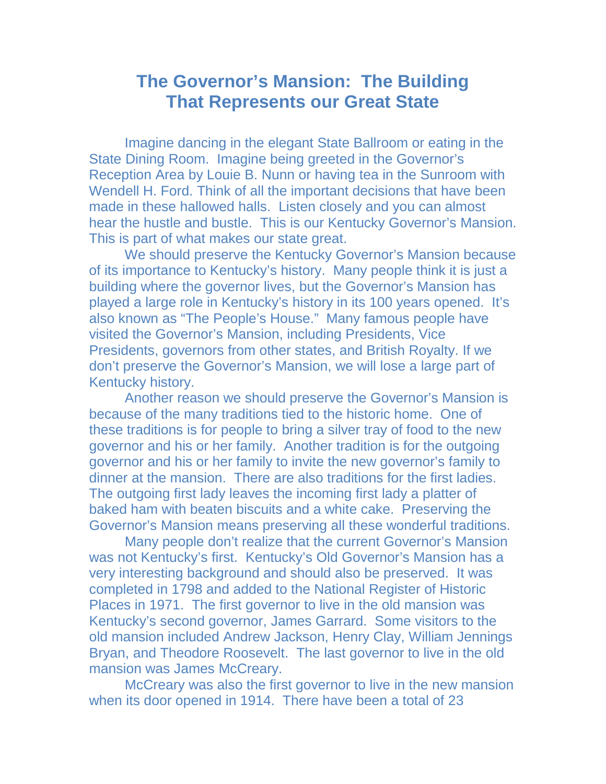## **The Governor's Mansion: The Building That Represents our Great State**

Imagine dancing in the elegant State Ballroom or eating in the State Dining Room. Imagine being greeted in the Governor's Reception Area by Louie B. Nunn or having tea in the Sunroom with Wendell H. Ford. Think of all the important decisions that have been made in these hallowed halls. Listen closely and you can almost hear the hustle and bustle. This is our Kentucky Governor's Mansion. This is part of what makes our state great.

We should preserve the Kentucky Governor's Mansion because of its importance to Kentucky's history. Many people think it is just a building where the governor lives, but the Governor's Mansion has played a large role in Kentucky's history in its 100 years opened. It's also known as "The People's House." Many famous people have visited the Governor's Mansion, including Presidents, Vice Presidents, governors from other states, and British Royalty. If we don't preserve the Governor's Mansion, we will lose a large part of Kentucky history.

Another reason we should preserve the Governor's Mansion is because of the many traditions tied to the historic home. One of these traditions is for people to bring a silver tray of food to the new governor and his or her family. Another tradition is for the outgoing governor and his or her family to invite the new governor's family to dinner at the mansion. There are also traditions for the first ladies. The outgoing first lady leaves the incoming first lady a platter of baked ham with beaten biscuits and a white cake. Preserving the Governor's Mansion means preserving all these wonderful traditions.

Many people don't realize that the current Governor's Mansion was not Kentucky's first. Kentucky's Old Governor's Mansion has a very interesting background and should also be preserved. It was completed in 1798 and added to the National Register of Historic Places in 1971. The first governor to live in the old mansion was Kentucky's second governor, James Garrard. Some visitors to the old mansion included Andrew Jackson, Henry Clay, William Jennings Bryan, and Theodore Roosevelt. The last governor to live in the old mansion was James McCreary.

McCreary was also the first governor to live in the new mansion when its door opened in 1914. There have been a total of 23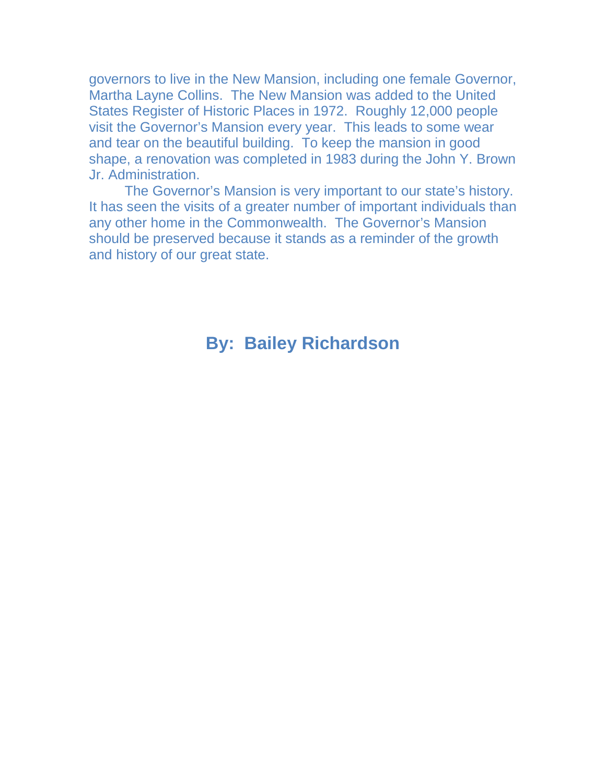governors to live in the New Mansion, including one female Governor, Martha Layne Collins. The New Mansion was added to the United States Register of Historic Places in 1972. Roughly 12,000 people visit the Governor's Mansion every year. This leads to some wear and tear on the beautiful building. To keep the mansion in good shape, a renovation was completed in 1983 during the John Y. Brown Jr. Administration.

The Governor's Mansion is very important to our state's history. It has seen the visits of a greater number of important individuals than any other home in the Commonwealth. The Governor's Mansion should be preserved because it stands as a reminder of the growth and history of our great state.

## **By: Bailey Richardson**